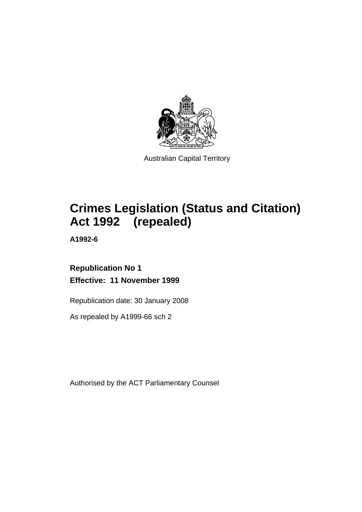

Australian Capital Territory

# **Crimes Legislation (Status and Citation) Act 1992 (repealed)**

**A1992-6** 

# **Republication No 1 Effective: 11 November 1999**

Republication date: 30 January 2008

As repealed by A1999-66 sch 2

Authorised by the ACT Parliamentary Counsel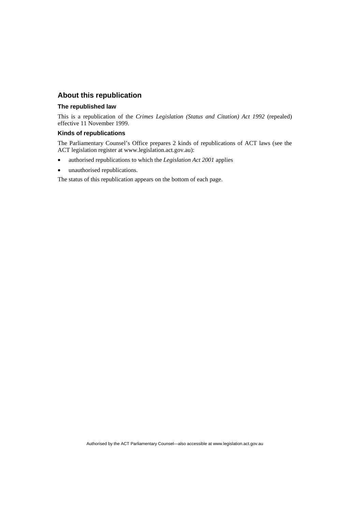# **About this republication**

#### **The republished law**

This is a republication of the *Crimes Legislation (Status and Citation) Act 1992* (repealed) effective 11 November 1999.

#### **Kinds of republications**

The Parliamentary Counsel's Office prepares 2 kinds of republications of ACT laws (see the ACT legislation register at www.legislation.act.gov.au):

- authorised republications to which the *Legislation Act 2001* applies
- unauthorised republications.

The status of this republication appears on the bottom of each page.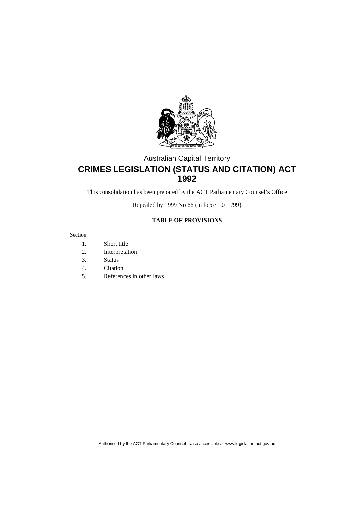

# Australian Capital Territory **CRIMES LEGISLATION (STATUS AND CITATION) ACT 1992**

This consolidation has been prepared by the ACT Parliamentary Counsel's Office

Repealed by 1999 No 66 (in force 10/11/99)

#### **TABLE OF PROVISIONS**

#### Section

- 1. Short title
- 2. Interpretation
- 3. Status
- 4. Citation
- 5. References in other laws

Authorised by the ACT Parliamentary Counsel—also accessible at www.legislation.act.gov.au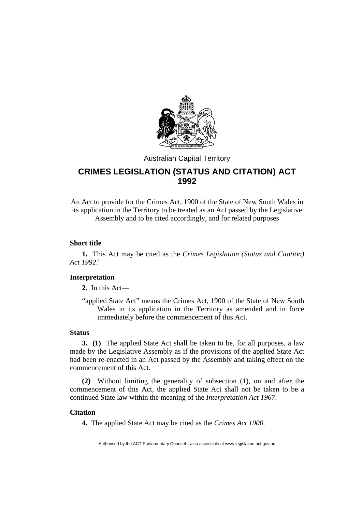

# Australian Capital Territory

# **CRIMES LEGISLATION (STATUS AND CITATION) ACT 1992**

An Act to provide for the Crimes Act, 1900 of the State of New South Wales in its application in the Territory to be treated as an Act passed by the Legislative Assembly and to be cited accordingly, and for related purposes

## **Short title**

**1.** This Act may be cited as the *Crimes Legislation (Status and Citation) Act 1992*. 1

### **Interpretation**

**2.** In this Act—

"applied State Act" means the Crimes Act, 1900 of the State of New South Wales in its application in the Territory as amended and in force immediately before the commencement of this Act.

## **Status**

**3. (1)** The applied State Act shall be taken to be, for all purposes, a law made by the Legislative Assembly as if the provisions of the applied State Act had been re-enacted in an Act passed by the Assembly and taking effect on the commencement of this Act.

**(2)** Without limiting the generality of subsection (1), on and after the commencement of this Act, the applied State Act shall not be taken to be a continued State law within the meaning of the *Interpretation Act 1967*.

#### **Citation**

**4.** The applied State Act may be cited as the *Crimes Act 1900*.

Authorised by the ACT Parliamentary Counsel—also accessible at www.legislation.act.gov.au